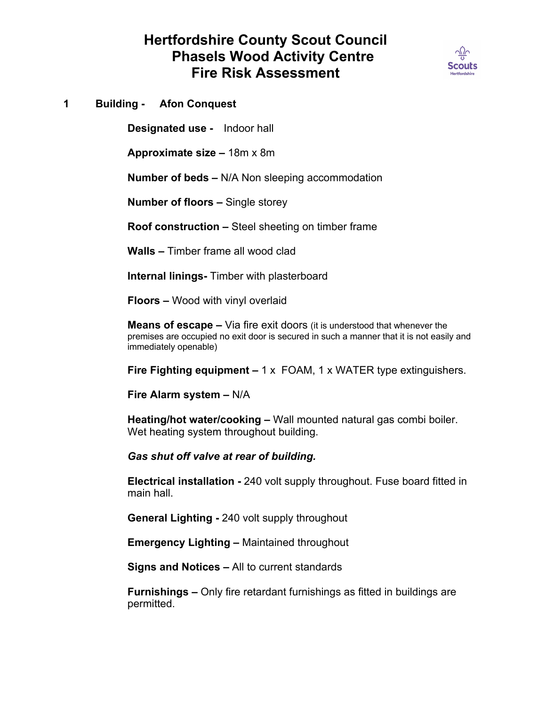# **Hertfordshire County Scout Council Phasels Wood Activity Centre Fire Risk Assessment**



## **1 Building - Afon Conquest**

**Designated use -** Indoor hall

**Approximate size –** 18m x 8m

**Number of beds –** N/A Non sleeping accommodation

**Number of floors –** Single storey

**Roof construction –** Steel sheeting on timber frame

**Walls –** Timber frame all wood clad

**Internal linings-** Timber with plasterboard

**Floors –** Wood with vinyl overlaid

**Means of escape –** Via fire exit doors (it is understood that whenever the premises are occupied no exit door is secured in such a manner that it is not easily and immediately openable)

**Fire Fighting equipment –** 1 x FOAM, 1 x WATER type extinguishers.

**Fire Alarm system –** N/A

**Heating/hot water/cooking –** Wall mounted natural gas combi boiler. Wet heating system throughout building.

*Gas shut off valve at rear of building.*

**Electrical installation -** 240 volt supply throughout. Fuse board fitted in main hall.

**General Lighting -** 240 volt supply throughout

**Emergency Lighting –** Maintained throughout

**Signs and Notices –** All to current standards

**Furnishings –** Only fire retardant furnishings as fitted in buildings are permitted.